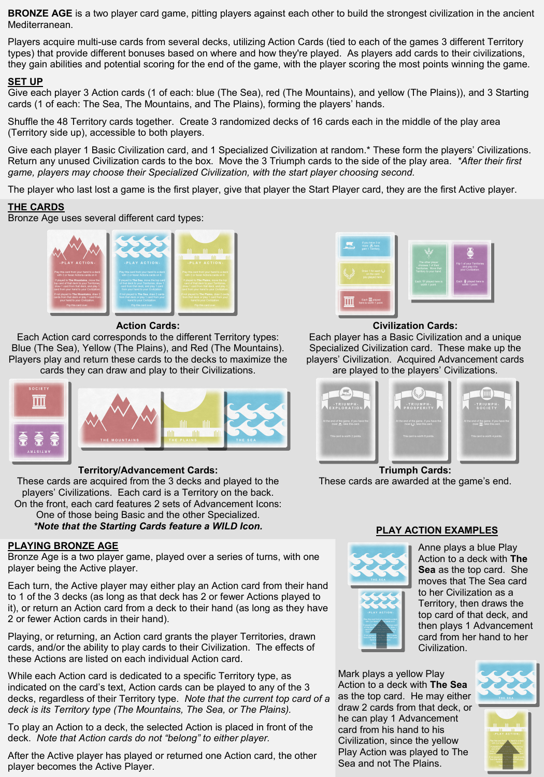**BRONZE AGE** is a two player card game, pitting players against each other to build the strongest civilization in the ancient Mediterranean.

Players acquire multi-use cards from several decks, utilizing Action Cards (tied to each of the games 3 different Territory types) that provide different bonuses based on where and how they're played. As players add cards to their civilizations, they gain abilities and potential scoring for the end of the game, with the player scoring the most points winning the game.

#### **SET UP**

Give each player 3 Action cards (1 of each: blue (The Sea), red (The Mountains), and yellow (The Plains)), and 3 Starting cards (1 of each: The Sea, The Mountains, and The Plains), forming the players' hands.

Shuffle the 48 Territory cards together. Create 3 randomized decks of 16 cards each in the middle of the play area (Territory side up), accessible to both players.

Give each player 1 Basic Civilization card, and 1 Specialized Civilization at random.\* These form the players' Civilizations. Return any unused Civilization cards to the box. Move the 3 Triumph cards to the side of the play area. *\*After their first game, players may choose their Specialized Civilization, with the start player choosing second.* 

The player who last lost a game is the first player, give that player the Start Player card, they are the first Active player.

### **THE CARDS**

Bronze Age uses several different card types:



#### **Action Cards:**

Each Action card corresponds to the different Territory types: Blue (The Sea), Yellow (The Plains), and Red (The Mountains). Players play and return these cards to the decks to maximize the cards they can draw and play to their Civilizations.



### **Territory/Advancement Cards:**

These cards are acquired from the 3 decks and played to the players' Civilizations. Each card is a Territory on the back. On the front, each card features 2 sets of Advancement Icons: One of those being Basic and the other Specialized. *\*Note that the Starting Cards feature a WILD Icon.*

### **PLAYING BRONZE AGE**

Bronze Age is a two player game, played over a series of turns, with one player being the Active player.

Each turn, the Active player may either play an Action card from their hand to 1 of the 3 decks (as long as that deck has 2 or fewer Actions played to it), or return an Action card from a deck to their hand (as long as they have 2 or fewer Action cards in their hand).

Playing, or returning, an Action card grants the player Territories, drawn cards, and/or the ability to play cards to their Civilization. The effects of these Actions are listed on each individual Action card.

While each Action card is dedicated to a specific Territory type, as indicated on the card's text, Action cards can be played to any of the 3 decks, regardless of their Territory type. *Note that the current top card of a deck is its Territory type (The Mountains, The Sea, or The Plains).* 

To play an Action to a deck, the selected Action is placed in front of the deck. *Note that Action cards do not "belong" to either player.* 

After the Active player has played or returned one Action card, the other player becomes the Active Player.



#### **Civilization Cards:**

Each player has a Basic Civilization and a unique Specialized Civilization card. These make up the players' Civilization. Acquired Advancement cards are played to the players' Civilizations.



**Triumph Cards:**  These cards are awarded at the game's end.



## **PLAY ACTION EXAMPLES**

Anne plays a blue Play Action to a deck with **The Sea** as the top card. She moves that The Sea card to her Civilization as a Territory, then draws the top card of that deck, and then plays 1 Advancement card from her hand to her Civilization.

Mark plays a yellow Play Action to a deck with **The Sea** as the top card. He may either draw 2 cards from that deck, or he can play 1 Advancement card from his hand to his Civilization, since the yellow Play Action was played to The Sea and not The Plains.